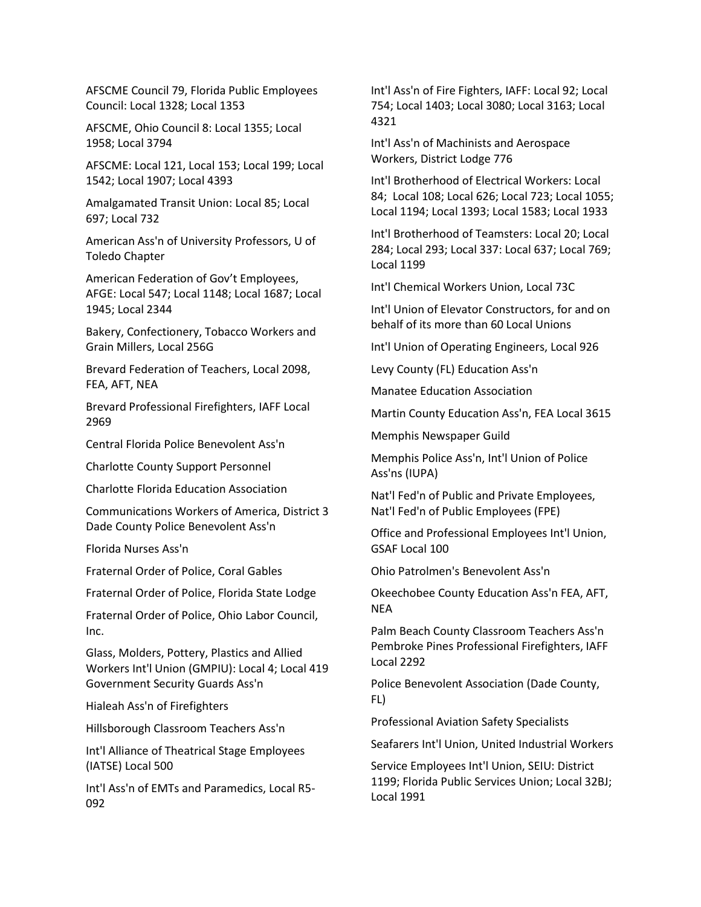AFSCME Council 79, Florida Public Employees Council: Local 1328; Local 1353

AFSCME, Ohio Council 8: Local 1355; Local 1958; Local 3794

AFSCME: Local 121, Local 153; Local 199; Local 1542; Local 1907; Local 4393

Amalgamated Transit Union: Local 85; Local 697; Local 732

American Ass'n of University Professors, U of Toledo Chapter

American Federation of Gov't Employees, AFGE: Local 547; Local 1148; Local 1687; Local 1945; Local 2344

Bakery, Confectionery, Tobacco Workers and Grain Millers, Local 256G

Brevard Federation of Teachers, Local 2098, FEA, AFT, NEA

Brevard Professional Firefighters, IAFF Local 2969

Central Florida Police Benevolent Ass'n

Charlotte County Support Personnel

Charlotte Florida Education Association

Communications Workers of America, District 3 Dade County Police Benevolent Ass'n

Florida Nurses Ass'n

Fraternal Order of Police, Coral Gables

Fraternal Order of Police, Florida State Lodge

Fraternal Order of Police, Ohio Labor Council, Inc.

Glass, Molders, Pottery, Plastics and Allied Workers Int'l Union (GMPIU): Local 4; Local 419 Government Security Guards Ass'n

Hialeah Ass'n of Firefighters

Hillsborough Classroom Teachers Ass'n

Int'l Alliance of Theatrical Stage Employees (IATSE) Local 500

Int'l Ass'n of EMTs and Paramedics, Local R5- 092

Int'l Ass'n of Fire Fighters, IAFF: Local 92; Local 754; Local 1403; Local 3080; Local 3163; Local 4321

Int'l Ass'n of Machinists and Aerospace Workers, District Lodge 776

Int'l Brotherhood of Electrical Workers: Local 84; Local 108; Local 626; Local 723; Local 1055; Local 1194; Local 1393; Local 1583; Local 1933

Int'l Brotherhood of Teamsters: Local 20; Local 284; Local 293; Local 337: Local 637; Local 769; Local 1199

Int'l Chemical Workers Union, Local 73C

Int'l Union of Elevator Constructors, for and on behalf of its more than 60 Local Unions

Int'l Union of Operating Engineers, Local 926

Levy County (FL) Education Ass'n

Manatee Education Association

Martin County Education Ass'n, FEA Local 3615

Memphis Newspaper Guild

Memphis Police Ass'n, Int'l Union of Police Ass'ns (IUPA)

Nat'l Fed'n of Public and Private Employees, Nat'l Fed'n of Public Employees (FPE)

Office and Professional Employees Int'l Union, GSAF Local 100

Ohio Patrolmen's Benevolent Ass'n

Okeechobee County Education Ass'n FEA, AFT, **NEA** 

Palm Beach County Classroom Teachers Ass'n Pembroke Pines Professional Firefighters, IAFF Local 2292

Police Benevolent Association (Dade County, FL)

Professional Aviation Safety Specialists

Seafarers Int'l Union, United Industrial Workers

Service Employees Int'l Union, SEIU: District 1199; Florida Public Services Union; Local 32BJ; Local 1991